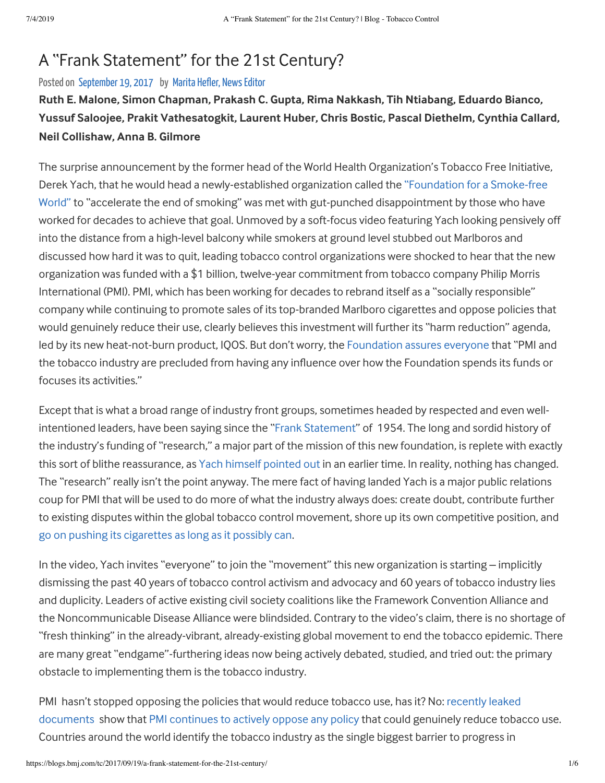### A "Frank Statement" for the 21st Century?

Posted on September 19, 2017 by Marita Hefler, News Editor

### Ruth E. Malone, Simon Chapman, Prakash C. Gupta, Rima Nakkash, Tih Ntiabang, Eduardo Bianco, Yussuf Saloojee, Prakit Vathesatogkit, Laurent Huber, Chris Bostic, Pascal Diethelm, Cynthia Callard, **Neil Collishaw, Anna B. Gilmore**

The surprise announcement by the former head of the World Health Organization's Tobacco Free Initiative, Derek Yach, that he would head a newly-established organization called the "Foundation for a Smoke-free World" to "accelerate the end of smoking" was met with gut-punched disappointment by those who have worked for decades to achieve that goal. Unmoved by a soft-focus video featuring Yach looking pensively off into the distance from a high-level balcony while smokers at ground level stubbed out Marlboros and discussed how hard it was to quit, leading tobacco control organizations were shocked to hear that the new organization was funded with a \$1 billion, twelve-year commitment from tobacco company Philip Morris International (PMI). PMI, which has been working for decades to rebrand itself as a "socially responsible" company while continuing to promote sales of its top-branded Marlboro cigarettes and oppose policies that would genuinely reduce their use, clearly believes this investment will further its "harm reduction" agenda, led by its new heat-not-burn product, IQOS. But don't worry, the Foundation assures everyone that "PMI and the tobacco industry are precluded from having any influence over how the Foundation spends its funds or focuses its activities."

Except that is what a broad range of industry front groups, sometimes headed by respected and even wellintentioned leaders, have been saying since the "Frank Statement" of 1954. The long and sordid history of the industry's funding of "research," a major part of the mission of this new foundation, is replete with exactly this sort of blithe reassurance, as Yach himself pointed out in an earlier time. In reality, nothing has changed. The "research" really isn't the point anyway. The mere fact of having landed Yach is a major public relations coup for PMI that will be used to do more of what the industry always does: create doubt, contribute further to existing disputes within the global tobacco control movement, shore up its own competitive position, and go on pushing its cigarettes as long as it possibly can.

In the video, Yach invites "everyone" to join the "movement" this new organization is starting – implicitly dismissing the past 40 years of tobacco control activism and advocacy and 60 years of tobacco industry lies and duplicity. Leaders of active existing civil society coalitions like the Framework Convention Alliance and the Noncommunicable Disease Alliance were blindsided. Contrary to the video's claim, there is no shortage of "fresh thinking" in the already-vibrant, already-existing global movement to end the tobacco epidemic. There are many great "endgame"-furthering ideas now being actively debated, studied, and tried out: the primary obstacle to implementing them is the tobacco industry.

PMI hasn't stopped opposing the policies that would reduce tobacco use, has it? No: recently leaked documents show that PMI continues to actively oppose any policy that could genuinely reduce tobacco use. Countries around the world identify the tobacco industry as the single biggest barrier to progress in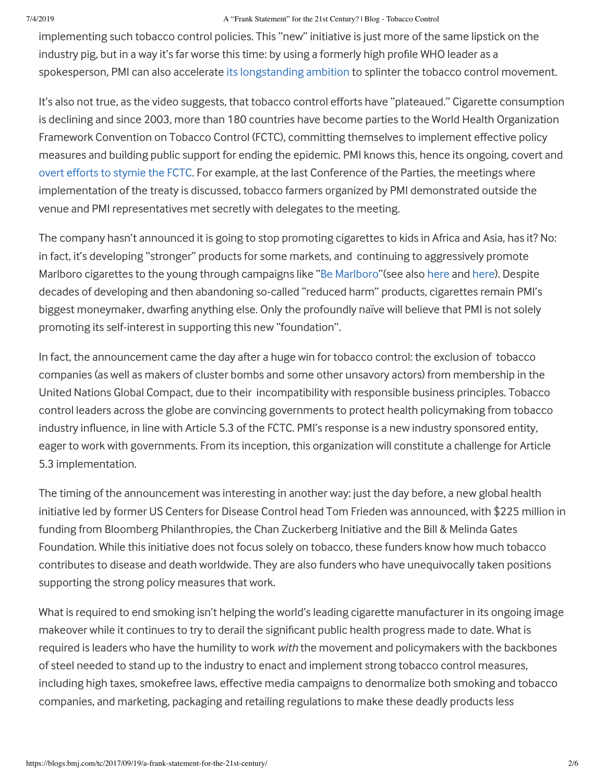#### 7/4/2019 A "Frank Statement" for the 21st Century? | Blog - Tobacco Control

implementing such tobacco control policies. This "new" initiative is just more of the same lipstick on the industry pig, but in a way it's far worse this time: by using a formerly high profile WHO leader as a spokesperson, PMI can also accelerate its longstanding ambition to splinter the tobacco control movement.

It's also not true, as the video suggests, that tobacco control efforts have "plateaued." Cigarette consumption is declining and since 2003, more than 180 countries have become parties to the World Health Organization Framework Convention on Tobacco Control (FCTC), committing themselves to implement effective policy measures and building public support for ending the epidemic. PMI knows this, hence its ongoing, covert and overt efforts to stymie the FCTC. For example, at the last Conference of the Parties, the meetings where implementation of the treaty is discussed, tobacco farmers organized by PMI demonstrated outside the venue and PMI representatives met secretly with delegates to the meeting.

The company hasn't announced it is going to stop promoting cigarettes to kids in Africa and Asia, has it? No: in fact, it's developing "stronger" products for some markets, and continuing to aggressively promote Marlboro cigarettes to the young through campaigns like "Be Marlboro" (see also here and here). Despite decades of developing and then abandoning so-called "reduced harm" products, cigarettes remain PMI's biggest moneymaker, dwarfing anything else. Only the profoundly naïve will believe that PMI is not solely promoting its self-interest in supporting this new "foundation".

In fact, the announcement came the day after a huge win for tobacco control: the exclusion of tobacco companies (as well as makers of cluster bombs and some other unsavory actors) from membership in the United Nations Global Compact, due to their incompatibility with responsible business principles. Tobacco control leaders across the globe are convincing governments to protect health policymaking from tobacco industry influence, in line with Article 5.3 of the FCTC. PMI's response is a new industry sponsored entity, eager to work with governments. From its inception, this organization will constitute a challenge for Article 5.3 implementation.

The timing of the announcement was interesting in another way: just the day before, a new global health initiative led by former US Centers for Disease Control head Tom Frieden was announced, with \$225 million in funding from Bloomberg Philanthropies, the Chan Zuckerberg Initiative and the Bill & Melinda Gates Foundation. While this initiative does not focus solely on tobacco, these funders know how much tobacco contributes to disease and death worldwide. They are also funders who have unequivocally taken positions supporting the strong policy measures that work.

What is required to end smoking isn't helping the world's leading cigarette manufacturer in its ongoing image makeover while it continues to try to derail the significant public health progress made to date. What is required is leaders who have the humility to work *with* the movement and policymakers with the backbones of steel needed to stand up to the industry to enact and implement strong tobacco control measures, including high taxes, smokefree laws, effective media campaigns to denormalize both smoking and tobacco companies, and marketing, packaging and retailing regulations to make these deadly products less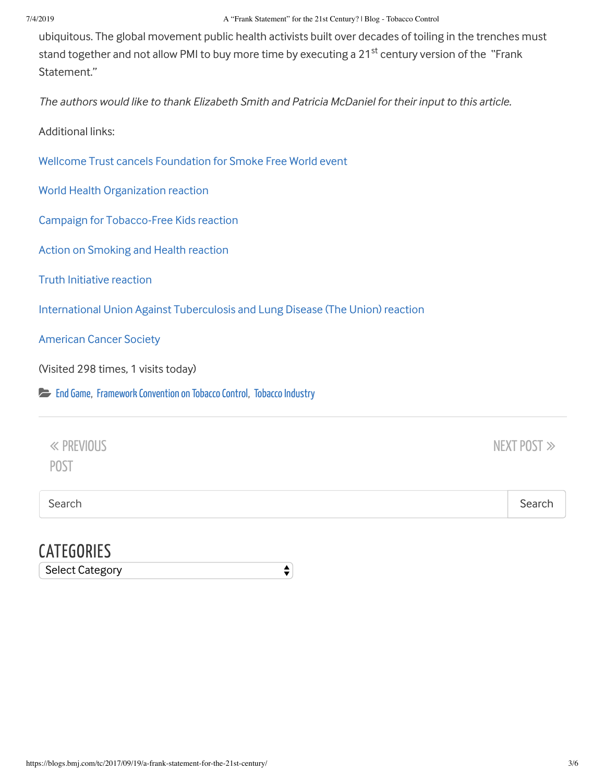#### 7/4/2019 A "Frank Statement" for the 21st Century? | Blog - Tobacco Control

ubiquitous. The global movement public health activists built over decades of toiling in the trenches must stand together and not allow PMI to buy more time by executing a 21<sup>st</sup> century version of the "Frank Statement."

The authors would like to thank Elizabeth Smith and Patricia McDaniel for their input to this article.

Additional links:

Wellcome Trust cancels Foundation for Smoke Free World event

World Health Organization reaction

Campaign for Tobacco-Free Kids reaction

Action on Smoking and Health reaction

**Truth Initiative reaction** 

International Union Against Tuberculosis and Lung Disease (The Union) reaction

**American Cancer Society** 

(Visited 298 times, 1 visits today)

End Game, Framework Convention on Tobacco Control, Tobacco Industry

| « PREVIOUS |  |  |  |
|------------|--|--|--|
| POST       |  |  |  |

 $\div$ 

Search **Search** Search **Search** Search **Search** Search **Search** Search **Search** Search **Search** Search **Search** Search **Search** Search **Search** Search **Search** Search **Search** Search **Search** Search **Search** Search **Search** 

NEXT POST  $\gg$ 

### **CATEGORIES**

Select Category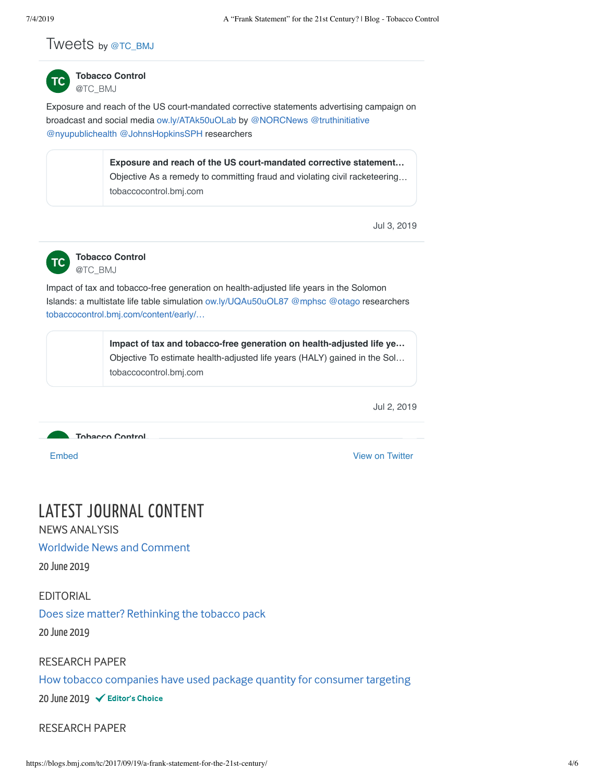#### Tweets by @TC\_BMJ



**Tobacco Control** @TC\_BMJ

Exposure and reach of the US court-mandated corrective statements advertising campaign on broadcast and social media ow.ly/ATAk50uOLab by @NORCNews @truthinitiative @nyupublichealth @JohnsHopkinsSPH researchers

> **Exposure and reach of the US court-mandated corrective statement…** Objective As a remedy to committing fraud and violating civil racketeering… tobaccocontrol.bmj.com

> > Jul 3, 2019



**Tobacco Control** @TC\_BMJ

Impact of tax and tobacco-free generation on health-adjusted life years in the Solomon Islands: a multistate life table simulation ow.ly/UQAu50uOL87 @mphsc @otago researchers tobaccocontrol.bmj.com/content/early/…

> **Impact of tax and tobacco-free generation on health-adjusted life ye…** Objective To estimate health-adjusted life years (HALY) gained in the Sol… tobaccocontrol.bmj.com

> > Jul 2, 2019



Embed View on Twitter

## LATEST JOURNAL CONTENT

NEWS ANALYSIS

Worldwide News and Comment

20 June 2019

EDITORIAL

Does size matter? Rethinking the tobacco pack

20 June 2019

RESEARCH PAPER

How tobacco companies have used package quantity for consumer targeting

20 June 2019

RESEARCH PAPER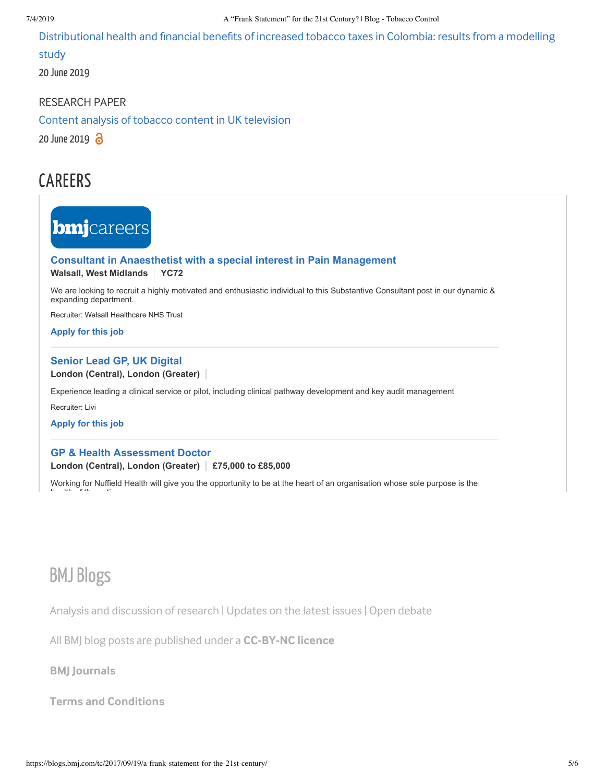Distributional health and financial benefits of increased tobacco taxes in Colombia: results from a modelling

study

20 June 2019

RESEARCH PAPER

Content analysis of tobacco content in UK television

20 June 2019  $\partial$ 

## CAREERS

# **bmj**careers

### **Consultant in Anaesthetist with a special interest in Pain Management**

**Walsall, West Midlands** | YC72

We are looking to recruit a highly motivated and enthusiastic individual to this Substantive Consultant post in our dynamic & expanding department.

Recruiter: Walsall Healthcare NHS Trust

**Apply for this job** 

#### **Senior Lead GP, UK Digital**

London (Central), London (Greater)

Experience leading a clinical service or pilot, including clinical pathway development and key audit management

Recruiter: Livi

**Apply for this job** 

#### **GP & Health Assessment Doctor London (Central), London (Greater)** | £75,000 to £85,000

Working for Nuffield Health will give you the opportunity to be at the heart of an organisation whose sole purpose is the

## **BMJ Blogs**

h lth f th ti

Analysis and discussion of research | Updates on the latest issues | Open debate

All BMJ blog posts are published under a CC-BY-NC licence

**BMJ** Journals

**Terms and Conditions**